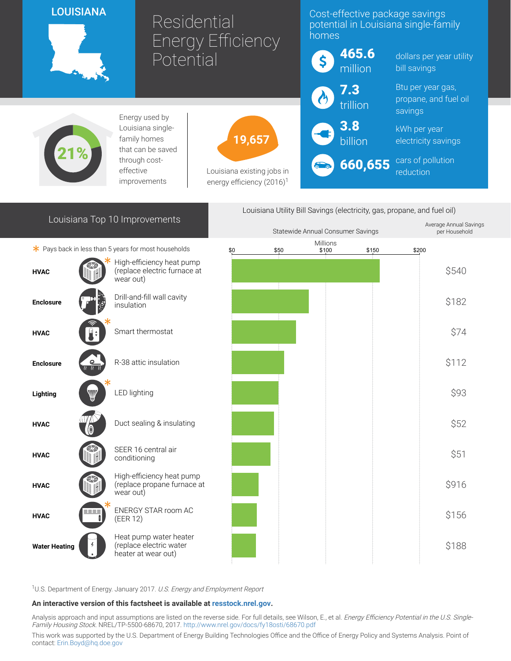# LOUISIANA



21%

# **Residential** Energy Efficiency Potential

19,657

Louisiana existing jobs in energy efficiency  $(2016)^1$ 

### Cost-effective package savings potential in Louisiana single-family homes

| \$             | 465.6<br>million  | dollars per y<br>bill savings          |
|----------------|-------------------|----------------------------------------|
| $\omega$       | $7.3$<br>trillion | Btu per year<br>propane, an<br>savings |
| $\bigodot$ 3.8 |                   | kWh per yea<br>electricity sa          |
|                | <b>660,655</b>    | cars of pollu<br><i>reduction</i>      |

kWh per year avings

ear utility

gas, d fuel oil

Average Annual Savings

**ution** reduction

# Louisiana Top 10 Improvements

Energy used by Louisiana singlefamily homes that can be saved through costeffective improvements

Louisiana Utility Bill Savings (electricity, gas, propane, and fuel oil)

|                      |                  |                                                                          |     | Statewide Annual Consumer Savings |                   |                | per Household |
|----------------------|------------------|--------------------------------------------------------------------------|-----|-----------------------------------|-------------------|----------------|---------------|
|                      |                  | $*$ Pays back in less than 5 years for most households                   | \$0 | \$50                              | Millions<br>\$100 | \$200<br>\$150 |               |
| <b>HVAC</b>          |                  | High-efficiency heat pump<br>(replace electric furnace at<br>wear out)   |     |                                   |                   |                | \$540         |
| <b>Enclosure</b>     |                  | Drill-and-fill wall cavity<br>insulation                                 |     |                                   |                   |                | \$182         |
| <b>HVAC</b>          |                  | Smart thermostat                                                         |     |                                   |                   |                | \$74          |
| <b>Enclosure</b>     | $\frac{Q}{\ell}$ | R-38 attic insulation                                                    |     |                                   |                   |                | \$112         |
| Lighting             | W                | <b>LED lighting</b>                                                      |     |                                   |                   |                | \$93          |
| <b>HVAC</b>          |                  | Duct sealing & insulating                                                |     |                                   |                   |                | \$52          |
| <b>HVAC</b>          |                  | SEER 16 central air<br>conditioning                                      |     |                                   |                   |                | \$51          |
| <b>HVAC</b>          |                  | High-efficiency heat pump<br>(replace propane furnace at<br>wear out)    |     |                                   |                   |                | \$916         |
| <b>HVAC</b>          |                  | ENERGY STAR room AC<br>(EER 12)                                          |     |                                   |                   |                | \$156         |
| <b>Water Heating</b> |                  | Heat pump water heater<br>(replace electric water<br>heater at wear out) |     |                                   |                   |                | \$188         |

<sup>1</sup>U.S. Department of Energy. January 2017. U.S. Energy and Employment Report

#### An interactive version of this factsheet is available at [resstock.nrel.gov.](https://resstock.nrel.gov/)

Analysis approach and input assumptions are listed on the reverse side. For full details, see Wilson, E., et al. *Energy Efficiency Potential in the U.S. Single*-Family Housing Stock. NREL/TP-5500-68670, 2017. <http://www.nrel.gov/docs/fy18osti/68670.pdf>

This work was supported by the U.S. Department of Energy Building Technologies Office and the Office of Energy Policy and Systems Analysis. Point of contact: [Erin.Boyd@hq.doe.gov](mailto:Erin.Boyd@hq.doe.gov)